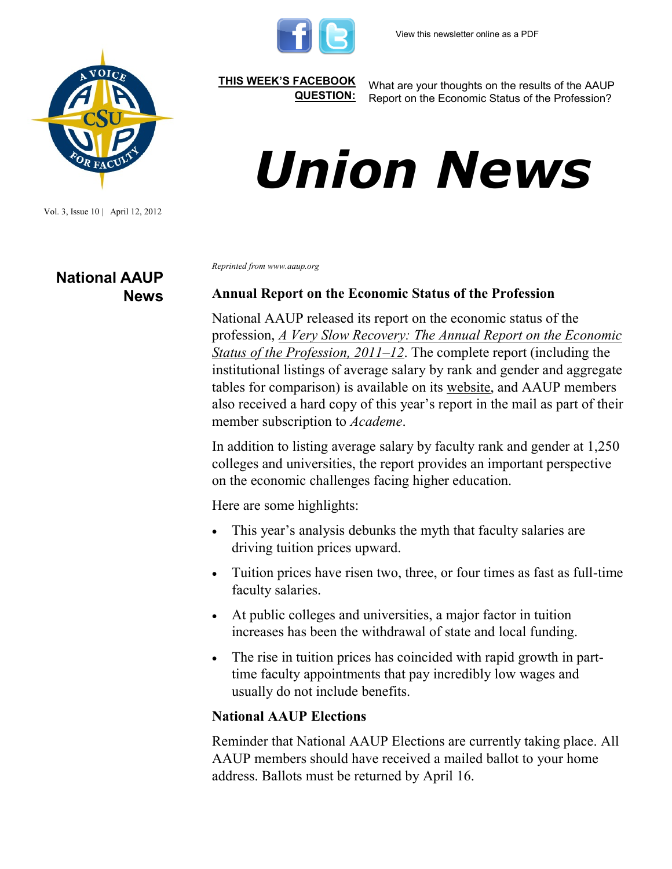

Vol. 3, Issue 10 | April 12, 2012

**National AAUP News** **[THIS WEEK'S FACEBOOK](http://www.facebook.com/csuaaup#!/pages/CSU-AAUP/112907808749535)  [QUESTION:](http://www.facebook.com/csuaaup#!/pages/CSU-AAUP/112907808749535)**

What are your thoughts on the results of the AAUP Report on the Economic Status of the Profession?

## *Union News*

*Reprinted from www.aaup.org*

## **Annual Report on the Economic Status of the Profession**

National AAUP released its report on the economic status of the profession, *[A Very Slow Recovery: The Annual Report on the Economic](https://online.aaup.org/aaupssa/ecmssamsganalytics.click_through?p_mail_id=E10138A2671470B1C2887)  [Status of the Profession, 2011](https://online.aaup.org/aaupssa/ecmssamsganalytics.click_through?p_mail_id=E10138A2671470B1C2887)–12*. The complete report (including the institutional listings of average salary by rank and gender and aggregate tables for comparison) is available on its [website,](http://www.aaup.org/) and AAUP members also received a hard copy of this year's report in the mail as part of their member subscription to *Academe*.

In addition to listing average salary by faculty rank and gender at 1,250 colleges and universities, the report provides an important perspective on the economic challenges facing higher education.

Here are some highlights:

- This year's analysis debunks the myth that faculty salaries are driving tuition prices upward.
- Tuition prices have risen two, three, or four times as fast as full-time faculty salaries.
- At public colleges and universities, a major factor in tuition increases has been the withdrawal of state and local funding.
- The rise in tuition prices has coincided with rapid growth in parttime faculty appointments that pay incredibly low wages and usually do not include benefits.

## **National AAUP Elections**

Reminder that National AAUP Elections are currently taking place. All AAUP members should have received a mailed ballot to your home address. Ballots must be returned by April 16.